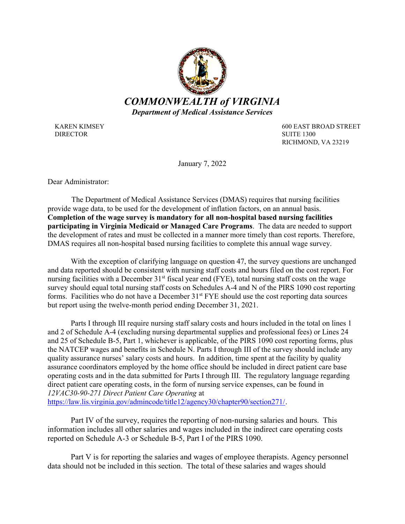

DIRECTOR SUITE 1300

KAREN KIMSEY 600 EAST BROAD STREET RICHMOND, VA 23219

January 7, 2022

Dear Administrator:

 The Department of Medical Assistance Services (DMAS) requires that nursing facilities provide wage data, to be used for the development of inflation factors, on an annual basis. Completion of the wage survey is mandatory for all non-hospital based nursing facilities participating in Virginia Medicaid or Managed Care Programs. The data are needed to support the development of rates and must be collected in a manner more timely than cost reports. Therefore, DMAS requires all non-hospital based nursing facilities to complete this annual wage survey.

With the exception of clarifying language on question 47, the survey questions are unchanged and data reported should be consistent with nursing staff costs and hours filed on the cost report. For nursing facilities with a December  $31<sup>st</sup>$  fiscal year end (FYE), total nursing staff costs on the wage survey should equal total nursing staff costs on Schedules A-4 and N of the PIRS 1090 cost reporting forms. Facilities who do not have a December 31<sup>st</sup> FYE should use the cost reporting data sources but report using the twelve-month period ending December 31, 2021.

Parts I through III require nursing staff salary costs and hours included in the total on lines 1 and 2 of Schedule A-4 (excluding nursing departmental supplies and professional fees) or Lines 24 and 25 of Schedule B-5, Part 1, whichever is applicable, of the PIRS 1090 cost reporting forms, plus the NATCEP wages and benefits in Schedule N. Parts I through III of the survey should include any quality assurance nurses' salary costs and hours. In addition, time spent at the facility by quality assurance coordinators employed by the home office should be included in direct patient care base operating costs and in the data submitted for Parts I through III. The regulatory language regarding direct patient care operating costs, in the form of nursing service expenses, can be found in 12VAC30-90-271 Direct Patient Care Operating at

https://law.lis.virginia.gov/admincode/title12/agency30/chapter90/section271/.

Part IV of the survey, requires the reporting of non-nursing salaries and hours. This information includes all other salaries and wages included in the indirect care operating costs reported on Schedule A-3 or Schedule B-5, Part I of the PIRS 1090.

Part V is for reporting the salaries and wages of employee therapists. Agency personnel data should not be included in this section. The total of these salaries and wages should